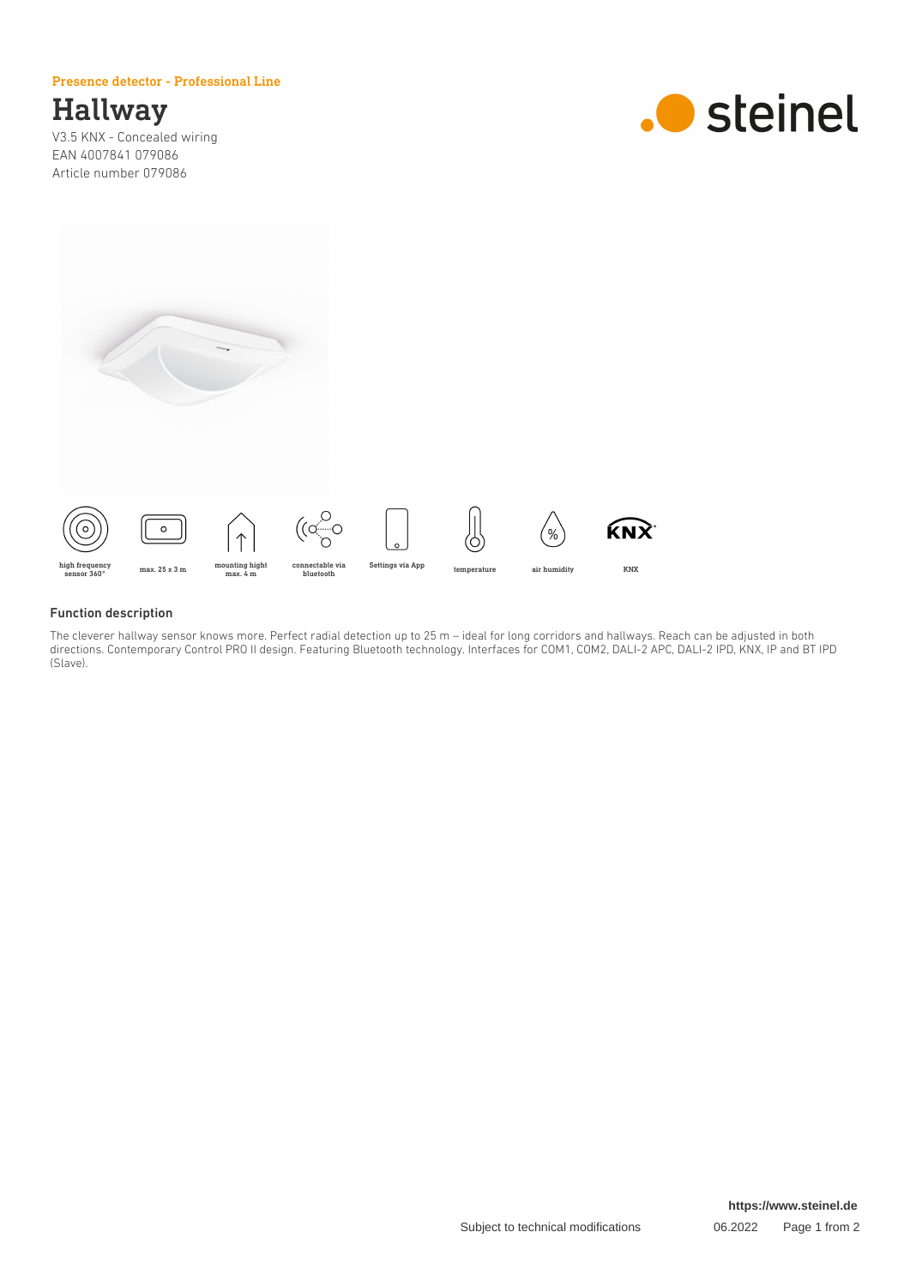#### Presence detector - Professional Line

## Hallway

V3.5 KNX - Concealed wiring EAN 4007841 079086 Article number 079086





#### Function description

The cleverer hallway sensor knows more. Perfect radial detection up to 25 m – ideal for long corridors and hallways. Reach can be adjusted in both directions. Contemporary Control PRO II design. Featuring Bluetooth technology. Interfaces for COM1, COM2, DALI-2 APC, DALI-2 IPD, KNX, IP and BT IPD (Slave).